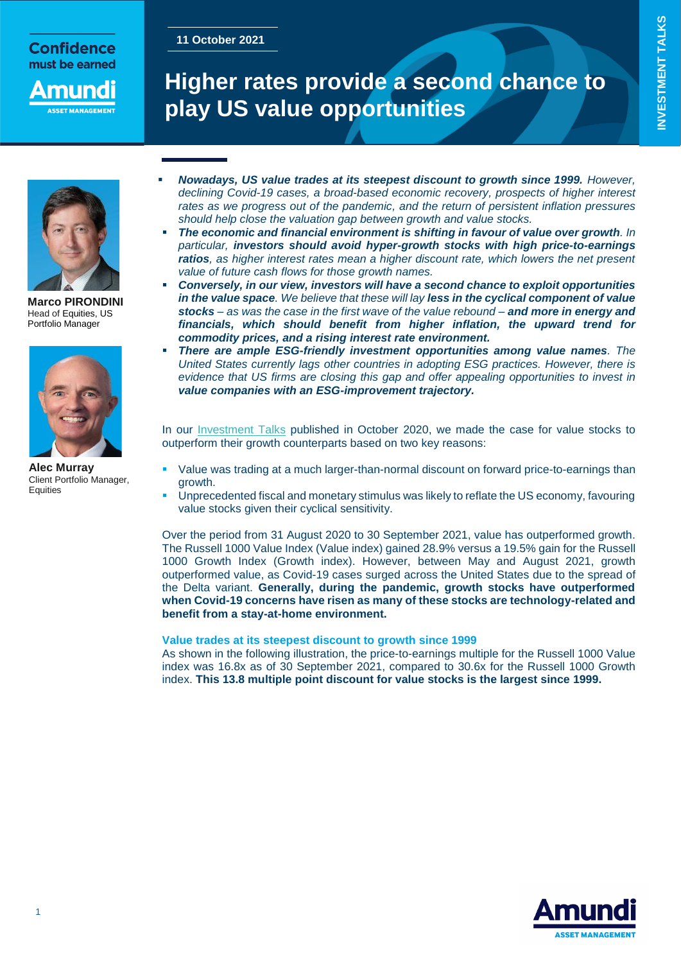## **Confidence** must be earned

nuno

# **11 October 2021**

**INVESTMENT TALKS INVESTMENT TALKS**



**Marco PIRONDINI** Head of Equities, US Portfolio Manager



**Alec Murray** Client Portfolio Manager, **Equities** 

# **Higher rates provide a second chance to play US value opportunities**

- *Nowadays, US value trades at its steepest discount to growth since 1999. However, declining Covid-19 cases, a broad-based economic recovery, prospects of higher interest rates as we progress out of the pandemic, and the return of persistent inflation pressures should help close the valuation gap between growth and value stocks.*
- *The economic and financial environment is shifting in favour of value over growth. In particular, investors should avoid hyper-growth stocks with high price-to-earnings ratios, as higher interest rates mean a higher discount rate, which lowers the net present value of future cash flows for those growth names.*
- *Conversely, in our view, investors will have a second chance to exploit opportunities in the value space. We believe that these will lay less in the cyclical component of value stocks – as was the case in the first wave of the value rebound – and more in energy and financials, which should benefit from higher inflation, the upward trend for commodity prices, and a rising interest rate environment.*
- *There are ample ESG-friendly investment opportunities among value names. The United States currently lags other countries in adopting ESG practices. However, there is evidence that US firms are closing this gap and offer appealing opportunities to invest in value companies with an ESG-improvement trajectory.*

In our [Investment Talks](https://research-center.amundi.com/article/time-reconsider-us-growth-and-value) published in October 2020, we made the case for value stocks to outperform their growth counterparts based on two key reasons:

- Value was trading at a much larger-than-normal discount on forward price-to-earnings than growth.
- Unprecedented fiscal and monetary stimulus was likely to reflate the US economy, favouring value stocks given their cyclical sensitivity.

Over the period from 31 August 2020 to 30 September 2021, value has outperformed growth. The Russell 1000 Value Index (Value index) gained 28.9% versus a 19.5% gain for the Russell 1000 Growth Index (Growth index). However, between May and August 2021, growth outperformed value, as Covid-19 cases surged across the United States due to the spread of the Delta variant. **Generally, during the pandemic, growth stocks have outperformed when Covid-19 concerns have risen as many of these stocks are technology-related and benefit from a stay-at-home environment.**

#### **Value trades at its steepest discount to growth since 1999**

As shown in the following illustration, the price-to-earnings multiple for the Russell 1000 Value index was 16.8x as of 30 September 2021, compared to 30.6x for the Russell 1000 Growth index. **This 13.8 multiple point discount for value stocks is the largest since 1999.**



1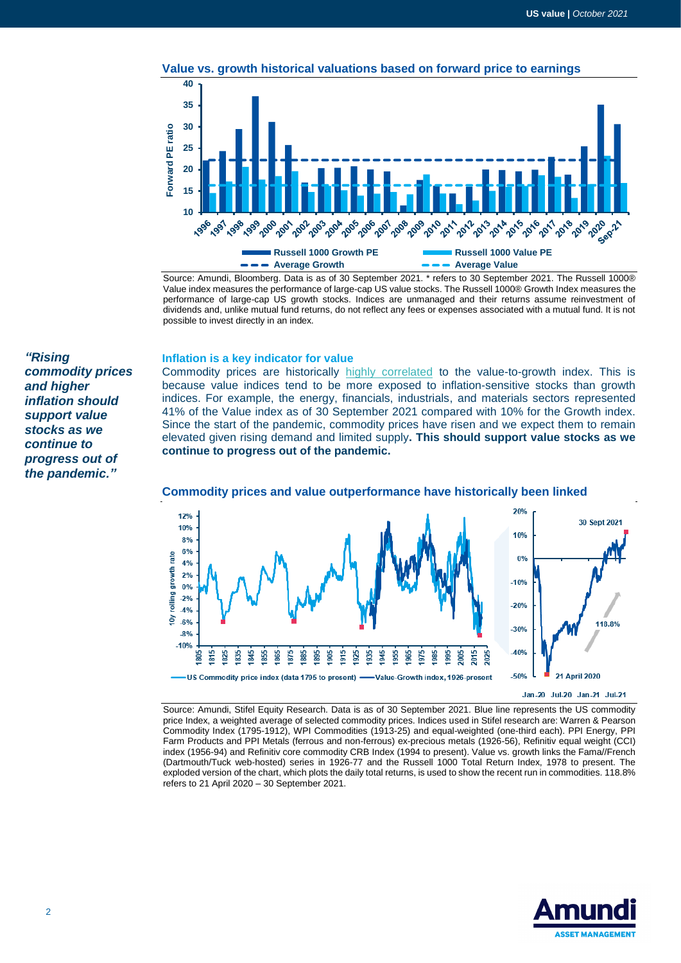

Source: Amundi, Bloomberg. Data is as of 30 September 2021. \* refers to 30 September 2021. The Russell 1000® Value index measures the performance of large-cap US value stocks. The Russell 1000® Growth Index measures the performance of large-cap US growth stocks. Indices are unmanaged and their returns assume reinvestment of dividends and, unlike mutual fund returns, do not reflect any fees or expenses associated with a mutual fund. It is not possible to invest directly in an index.

#### **Inflation is a key indicator for value**

Commodity prices are historically [highly correlated](https://research-center.amundi.com/article/shifts-narratives-8-post-summer-check-regime-shift) to the value-to-growth index. This is because value indices tend to be more exposed to inflation-sensitive stocks than growth indices. For example, the energy, financials, industrials, and materials sectors represented 41% of the Value index as of 30 September 2021 compared with 10% for the Growth index. Since the start of the pandemic, commodity prices have risen and we expect them to remain elevated given rising demand and limited supply**. This should support value stocks as we continue to progress out of the pandemic.**



#### **Commodity prices and value outperformance have historically been linked**

#### Jan-20 Jul-20 Jan-21 Jul-21

Source: Amundi, Stifel Equity Research. Data is as of 30 September 2021. Blue line represents the US commodity price Index, a weighted average of selected commodity prices. Indices used in Stifel research are: Warren & Pearson Commodity Index (1795-1912), WPI Commodities (1913-25) and equal-weighted (one-third each). PPI Energy, PPI Farm Products and PPI Metals (ferrous and non-ferrous) ex-precious metals (1926-56), Refinitiv equal weight (CCI) index (1956-94) and Refinitiv core commodity CRB Index (1994 to present). Value vs. growth links the Fama//French (Dartmouth/Tuck web-hosted) series in 1926-77 and the Russell 1000 Total Return Index, 1978 to present. The exploded version of the chart, which plots the daily total returns, is used to show the recent run in commodities. 118.8% refers to 21 April 2020 – 30 September 2021.



*"Rising commodity prices and higher inflation should support value stocks as we continue to progress out of the pandemic."*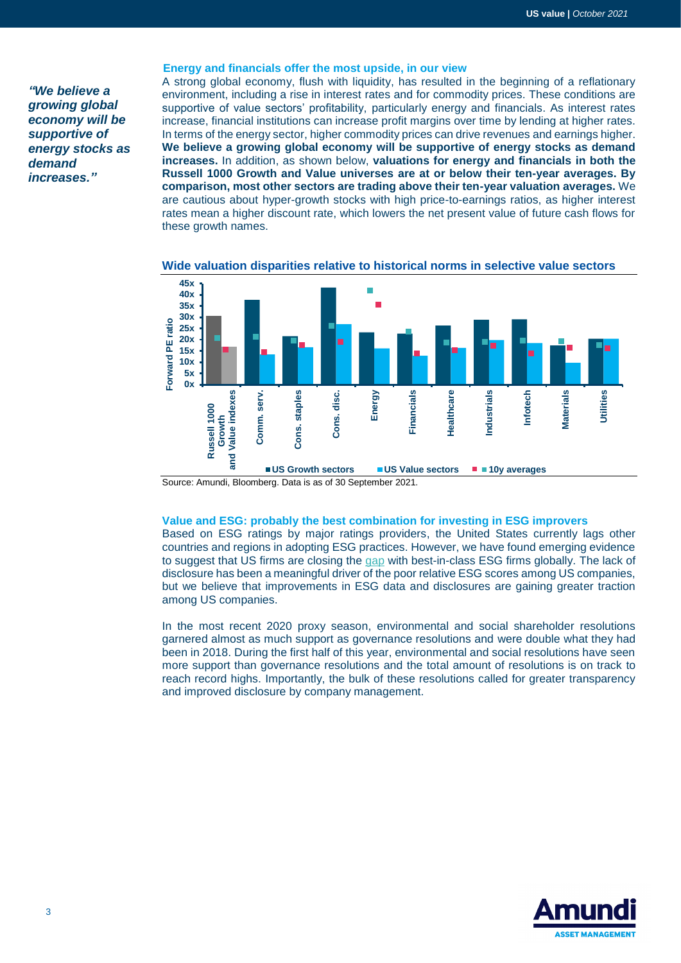*"We believe a growing global economy will be supportive of energy stocks as demand increases."*

#### **Energy and financials offer the most upside, in our view**

A strong global economy, flush with liquidity, has resulted in the beginning of a reflationary environment, including a rise in interest rates and for commodity prices. These conditions are supportive of value sectors' profitability, particularly energy and financials. As interest rates increase, financial institutions can increase profit margins over time by lending at higher rates. In terms of the energy sector, higher commodity prices can drive revenues and earnings higher. **We believe a growing global economy will be supportive of energy stocks as demand increases.** In addition, as shown below, **valuations for energy and financials in both the Russell 1000 Growth and Value universes are at or below their ten-year averages. By comparison, most other sectors are trading above their ten-year valuation averages.** We are cautious about hyper-growth stocks with high price-to-earnings ratios, as higher interest rates mean a higher discount rate, which lowers the net present value of future cash flows for these growth names.



**Wide valuation disparities relative to historical norms in selective value sectors**

Source: Amundi, Bloomberg. Data is as of 30 September 2021.

#### **Value and ESG: probably the best combination for investing in ESG improvers**

Based on ESG ratings by major ratings providers, the United States currently lags other countries and regions in adopting ESG practices. However, we have found emerging evidence to suggest that US firms are closing the [gap](https://research-center.amundi.com/article/looking-hidden-esg-gems-new-frontier-responsible-investing-improvers) with best-in-class ESG firms globally. The lack of disclosure has been a meaningful driver of the poor relative ESG scores among US companies, but we believe that improvements in ESG data and disclosures are gaining greater traction among US companies.

In the most recent 2020 proxy season, environmental and social shareholder resolutions garnered almost as much support as governance resolutions and were double what they had been in 2018. During the first half of this year, environmental and social resolutions have seen more support than governance resolutions and the total amount of resolutions is on track to reach record highs. Importantly, the bulk of these resolutions called for greater transparency and improved disclosure by company management.

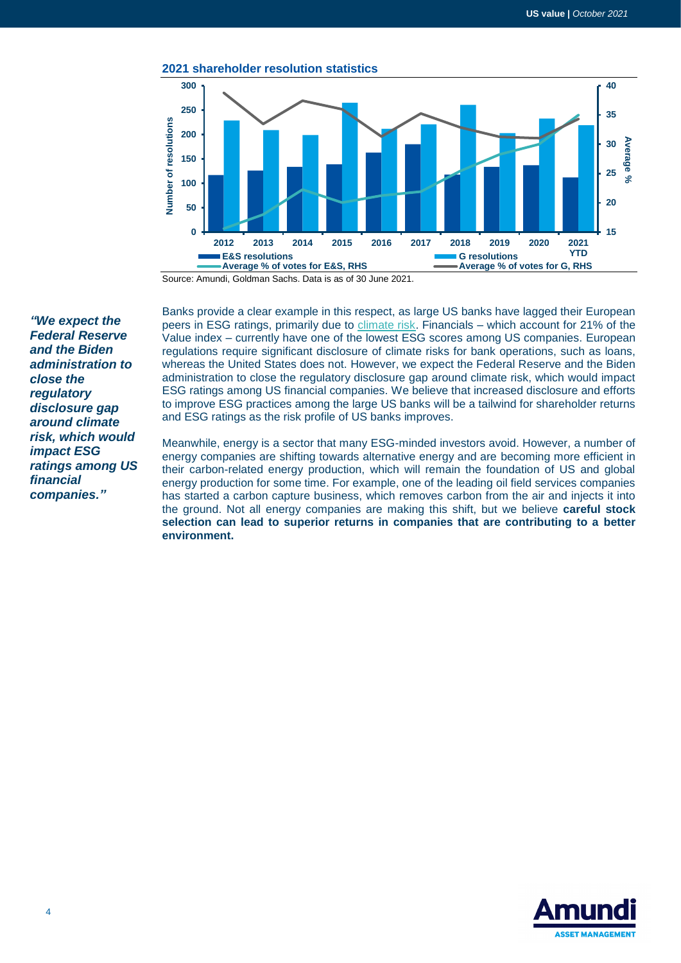

Source: Amundi, Goldman Sachs. Data is as of 30 June 2021.

*"We expect the Federal Reserve and the Biden administration to close the regulatory disclosure gap around climate risk, which would impact ESG ratings among US financial companies."*

Banks provide a clear example in this respect, as large US banks have lagged their European peers in ESG ratings, primarily due to [climate risk.](https://research-center.amundi.com/article/temperature-scores-innovative-tool-esg-fundamental-investors) Financials – which account for 21% of the Value index – currently have one of the lowest ESG scores among US companies. European regulations require significant disclosure of climate risks for bank operations, such as loans, whereas the United States does not. However, we expect the Federal Reserve and the Biden administration to close the regulatory disclosure gap around climate risk, which would impact ESG ratings among US financial companies. We believe that increased disclosure and efforts to improve ESG practices among the large US banks will be a tailwind for shareholder returns and ESG ratings as the risk profile of US banks improves.

Meanwhile, energy is a sector that many ESG-minded investors avoid. However, a number of energy companies are shifting towards alternative energy and are becoming more efficient in their carbon-related energy production, which will remain the foundation of US and global energy production for some time. For example, one of the leading oil field services companies has started a carbon capture business, which removes carbon from the air and injects it into the ground. Not all energy companies are making this shift, but we believe **careful stock selection can lead to superior returns in companies that are contributing to a better environment.**